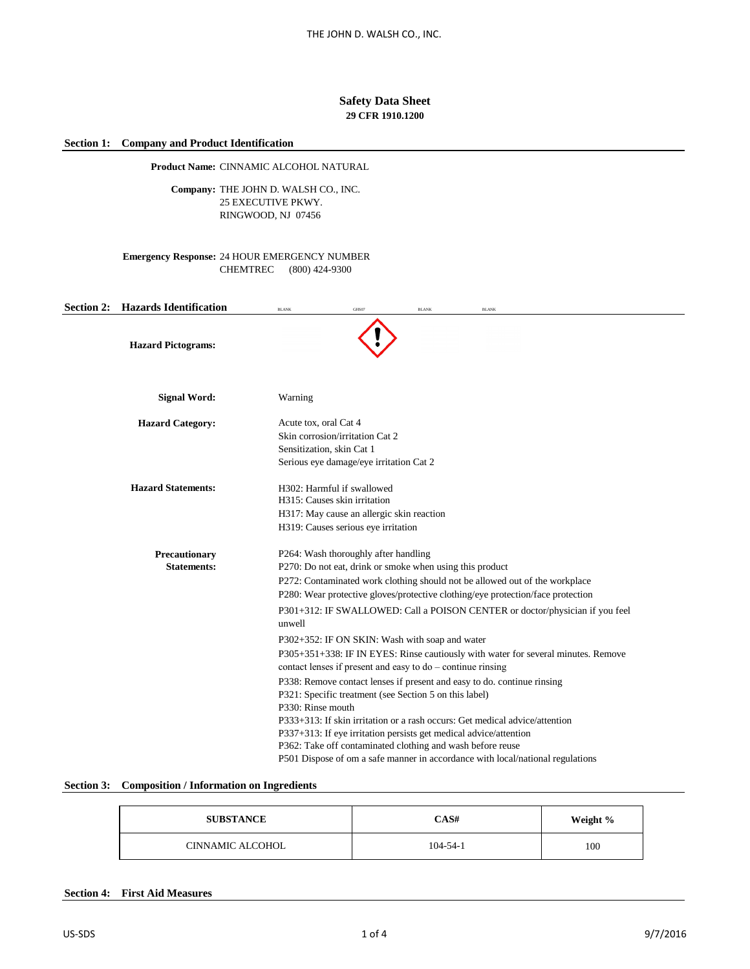# **Safety Data Sheet 29 CFR 1910.1200**

# **Section 1: Company and Product Identification**

**Product Name:** CINNAMIC ALCOHOL NATURAL

Company: THE JOHN D. WALSH CO., INC. 25 EXECUTIVE PKWY. RINGWOOD, NJ 07456

**Emergency Response:** 24 HOUR EMERGENCY NUMBER CHEMTREC (800) 424-9300

| <b>Section 2: Hazards Identification</b> | <b>BLANK</b>          | GHS07                                                                                                                                                                               | <b>BLANK</b> | <b>BLANK</b>                                                                                                                                                                                                                                                                                                  |                                                                                                                                                                   |  |
|------------------------------------------|-----------------------|-------------------------------------------------------------------------------------------------------------------------------------------------------------------------------------|--------------|---------------------------------------------------------------------------------------------------------------------------------------------------------------------------------------------------------------------------------------------------------------------------------------------------------------|-------------------------------------------------------------------------------------------------------------------------------------------------------------------|--|
| <b>Hazard Pictograms:</b>                |                       |                                                                                                                                                                                     |              |                                                                                                                                                                                                                                                                                                               |                                                                                                                                                                   |  |
| <b>Signal Word:</b>                      | Warning               |                                                                                                                                                                                     |              |                                                                                                                                                                                                                                                                                                               |                                                                                                                                                                   |  |
| <b>Hazard Category:</b>                  | Acute tox, oral Cat 4 | Skin corrosion/irritation Cat 2<br>Sensitization, skin Cat 1<br>Serious eye damage/eye irritation Cat 2                                                                             |              |                                                                                                                                                                                                                                                                                                               |                                                                                                                                                                   |  |
| <b>Hazard Statements:</b>                |                       | H302: Harmful if swallowed<br>H315: Causes skin irritation<br>H317: May cause an allergic skin reaction<br>H319: Causes serious eye irritation                                      |              |                                                                                                                                                                                                                                                                                                               |                                                                                                                                                                   |  |
| Precautionary<br><b>Statements:</b>      | unwell                | P264: Wash thoroughly after handling<br>P270: Do not eat, drink or smoke when using this product<br>P302+352: IF ON SKIN: Wash with soap and water                                  |              | P272: Contaminated work clothing should not be allowed out of the workplace<br>P280: Wear protective gloves/protective clothing/eye protection/face protection                                                                                                                                                | P301+312: IF SWALLOWED: Call a POISON CENTER or doctor/physician if you feel<br>P305+351+338: IF IN EYES: Rinse cautiously with water for several minutes. Remove |  |
|                                          | P330: Rinse mouth     | contact lenses if present and easy to do – continue rinsing<br>P321: Specific treatment (see Section 5 on this label)<br>P362: Take off contaminated clothing and wash before reuse |              | P338: Remove contact lenses if present and easy to do. continue rinsing<br>P333+313: If skin irritation or a rash occurs: Get medical advice/attention<br>P337+313: If eye irritation persists get medical advice/attention<br>P501 Dispose of om a safe manner in accordance with local/national regulations |                                                                                                                                                                   |  |

# **Section 3: Composition / Information on Ingredients**

| <b>SUBSTANCE</b>        | CAS#           | Weight % |
|-------------------------|----------------|----------|
| <b>CINNAMIC ALCOHOL</b> | $104 - 54 - 1$ | 100      |

## **Section 4: First Aid Measures**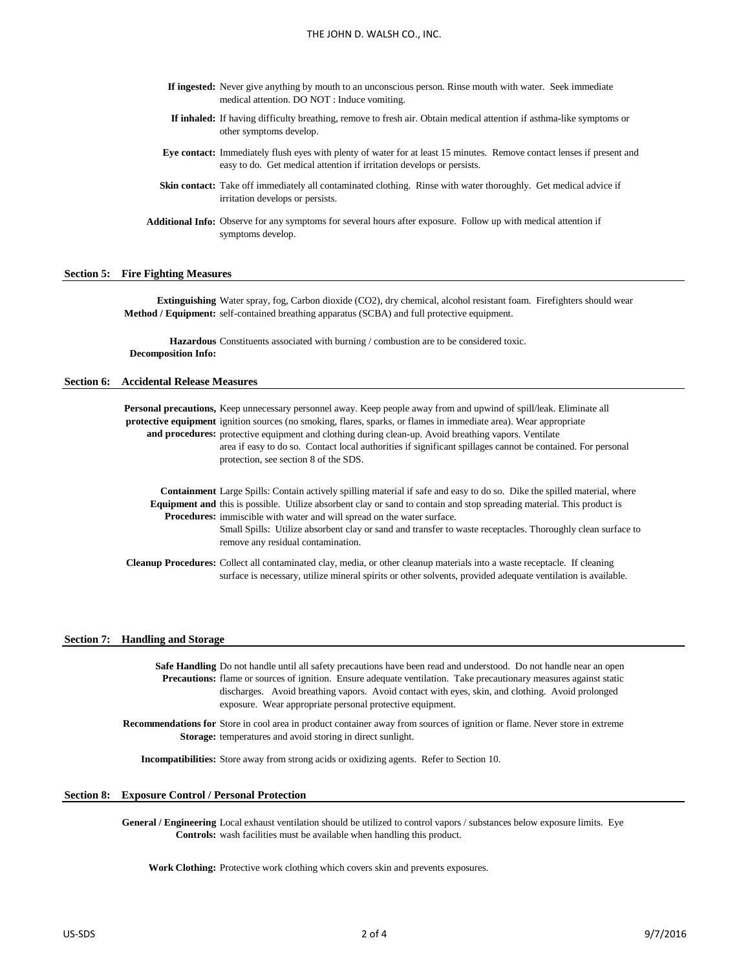- **If ingested:** Never give anything by mouth to an unconscious person. Rinse mouth with water. Seek immediate medical attention. DO NOT : Induce vomiting.
- **If inhaled:** If having difficulty breathing, remove to fresh air. Obtain medical attention if asthma-like symptoms or other symptoms develop.
- **Eye contact:** Immediately flush eyes with plenty of water for at least 15 minutes. Remove contact lenses if present and easy to do. Get medical attention if irritation develops or persists.
- Skin contact: Take off immediately all contaminated clothing. Rinse with water thoroughly. Get medical advice if irritation develops or persists.
- **Additional Info:** Observe for any symptoms for several hours after exposure. Follow up with medical attention if symptoms develop.

### **Section 5: Fire Fighting Measures**

**Extinguishing**  Water spray, fog, Carbon dioxide (CO2), dry chemical, alcohol resistant foam. Firefighters should wear **Method / Equipment:** self-contained breathing apparatus (SCBA) and full protective equipment.

Hazardous Constituents associated with burning / combustion are to be considered toxic. **Decomposition Info:**

## **Section 6: Accidental Release Measures**

Personal precautions, Keep unnecessary personnel away. Keep people away from and upwind of spill/leak. Eliminate all **protective equipment** ignition sources (no smoking, flares, sparks, or flames in immediate area). Wear appropriate and procedures: protective equipment and clothing during clean-up. Avoid breathing vapors. Ventilate

area if easy to do so. Contact local authorities if significant spillages cannot be contained. For personal protection, see section 8 of the SDS.

**Containment**  Large Spills: Contain actively spilling material if safe and easy to do so. Dike the spilled material, where **Equipment and**  this is possible. Utilize absorbent clay or sand to contain and stop spreading material. This product is Procedures: immiscible with water and will spread on the water surface.

> Small Spills: Utilize absorbent clay or sand and transfer to waste receptacles. Thoroughly clean surface to remove any residual contamination.

Cleanup Procedures: Collect all contaminated clay, media, or other cleanup materials into a waste receptacle. If cleaning surface is necessary, utilize mineral spirits or other solvents, provided adequate ventilation is available.

#### **Section 7: Handling and Storage**

Safe Handling Do not handle until all safety precautions have been read and understood. Do not handle near an open **Precautions:** flame or sources of ignition. Ensure adequate ventilation. Take precautionary measures against static discharges. Avoid breathing vapors. Avoid contact with eyes, skin, and clothing. Avoid prolonged exposure. Wear appropriate personal protective equipment.

**Recommendations for**  Store in cool area in product container away from sources of ignition or flame. Never store in extreme Storage: temperatures and avoid storing in direct sunlight.

**Incompatibilities:** Store away from strong acids or oxidizing agents. Refer to Section 10.

#### **Section 8: Exposure Control / Personal Protection**

General / Engineering Local exhaust ventilation should be utilized to control vapors / substances below exposure limits. Eye **Controls:** wash facilities must be available when handling this product.

**Work Clothing:** Protective work clothing which covers skin and prevents exposures.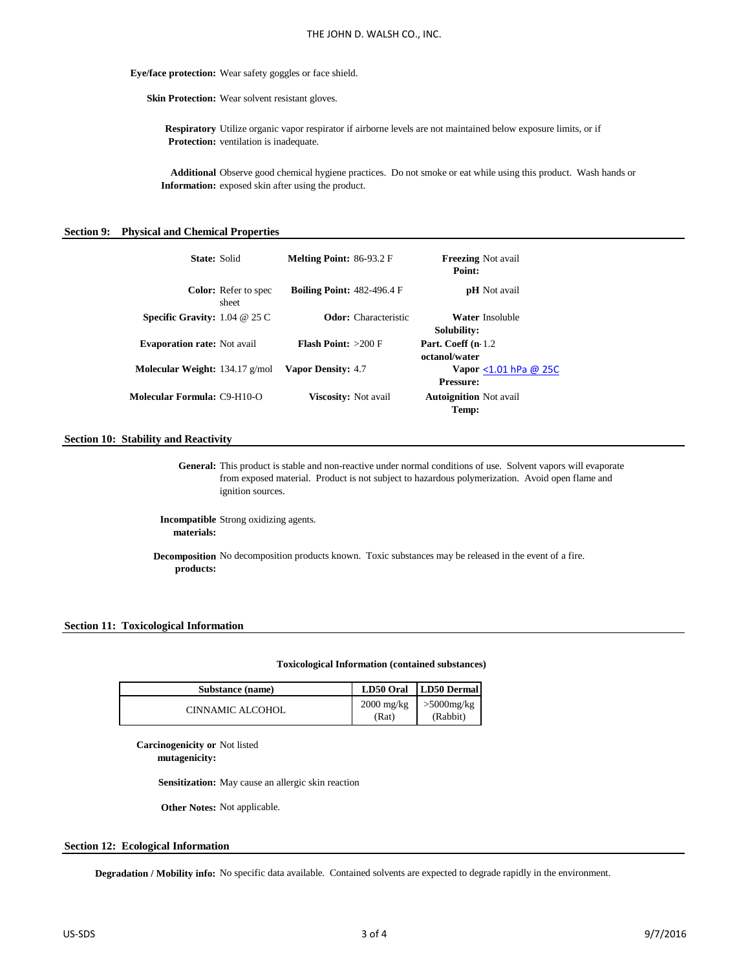**Eye/face protection:** Wear safety goggles or face shield.

Skin Protection: Wear solvent resistant gloves.

**Respiratory**  Utilize organic vapor respirator if airborne levels are not maintained below exposure limits, or if **Protection:** ventilation is inadequate.

**Additional**  Observe good chemical hygiene practices. Do not smoke or eat while using this product. Wash hands or **Information:** exposed skin after using the product.

#### **Section 9: Physical and Chemical Properties**

| State: Solid                               | <b>Melting Point: 86-93.2 F</b>   | <b>Freezing Not avail</b><br>Point:           |
|--------------------------------------------|-----------------------------------|-----------------------------------------------|
| <b>Color:</b> Refer to spec<br>sheet       | <b>Boiling Point: 482-496.4 F</b> | <b>pH</b> Not avail                           |
| <b>Specific Gravity:</b> $1.04 \ @ 25 \ C$ | <b>Odor:</b> Characteristic       | Water Insoluble<br>Solubility:                |
| <b>Evaporation rate:</b> Not avail         | <b>Flash Point:</b> $>200$ F      | Part. Coeff (n 1.2)<br>octanol/water          |
| Molecular Weight: 134.17 g/mol             | <b>Vapor Density: 4.7</b>         | Vapor $\lt1.01$ hPa @ 25C<br><b>Pressure:</b> |
| <b>Molecular Formula: C9-H10-O</b>         | Viscosity: Not avail              | <b>Autoignition</b> Not avail<br>Temp:        |

#### **Section 10: Stability and Reactivity**

General: This product is stable and non-reactive under normal conditions of use. Solvent vapors will evaporate from exposed material. Product is not subject to hazardous polymerization. Avoid open flame and ignition sources.

**Incompatible**  Strong oxidizing agents. **materials:**

**Decomposition**  No decomposition products known. Toxic substances may be released in the event of a fire. **products:**

#### **Section 11: Toxicological Information**

#### **Toxicological Information (contained substances)**

| Substance (name) |       | LD50 Oral   LD50 Dermal                     |
|------------------|-------|---------------------------------------------|
| CINNAMIC ALCOHOL | (Rat) | $2000 \text{ mg/kg}$ >5000mg/kg<br>(Rabbit) |

**Carcinogenicity or**  Not listed

**mutagenicity:**

**Sensitization:** May cause an allergic skin reaction

**Other Notes:** Not applicable.

### **Section 12: Ecological Information**

Degradation / Mobility info: No specific data available. Contained solvents are expected to degrade rapidly in the environment.